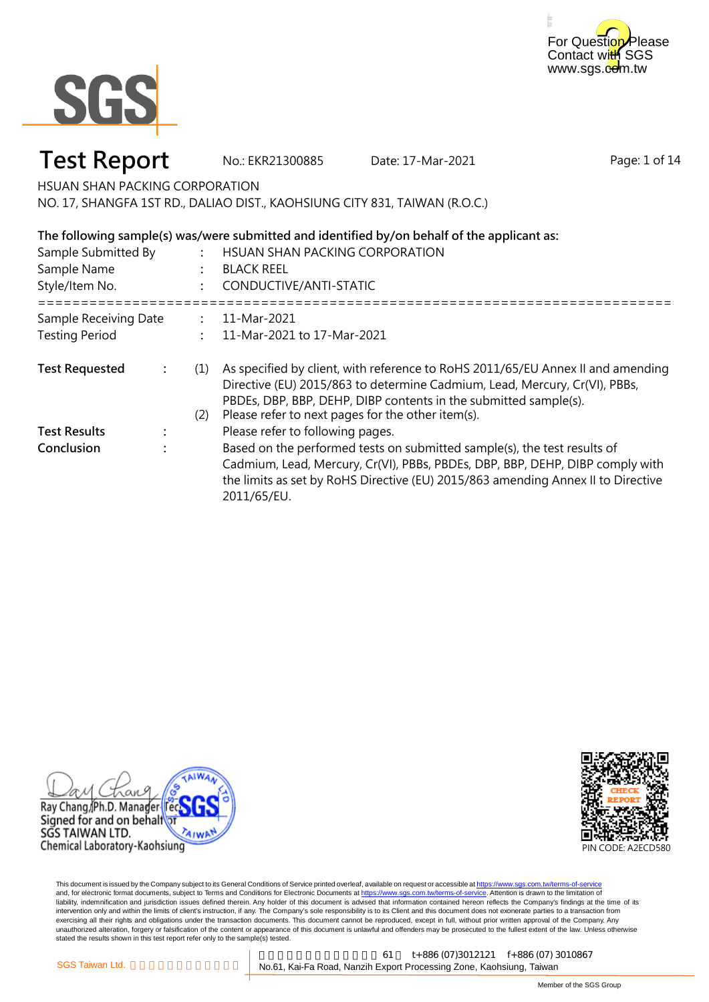



### **Test Report** No.: EKR21300885 Date: 17-Mar-2021

Page: 1 of 14

HSUAN SHAN PACKING CORPORATION

NO. 17, SHANGFA 1ST RD., DALIAO DIST., KAOHSIUNG CITY 831, TAIWAN (R.O.C.)

#### **: : :** ===================================================================================================== **: : :** (1) As specified by client, with reference to RoHS 2011/65/EU Annex II and amending (2) Please refer to next pages for the other item(s). **: : Test Results** : Please refer to following pages. Directive (EU) 2015/863 to determine Cadmium, Lead, Mercury, Cr(VI), PBBs, PBDEs, DBP, BBP, DEHP, DIBP contents in the submitted sample(s). **Test Requested Conclusion** : Based on the performed tests on submitted sample(s), the test results of Cadmium, Lead, Mercury, Cr(VI), PBBs, PBDEs, DBP, BBP, DEHP, DIBP comply with the limits as set by RoHS Directive (EU) 2015/863 amending Annex II to Directive 2011/65/EU. 11-Mar-2021 11-Mar-2021 to 17-Mar-2021 Sample Receiving Date Testing Period CONDUCTIVE/ANTI-STATIC Sample Submitted By Sample Name Style/Item No. HSUAN SHAN PACKING CORPORATION BLACK REEL **The following sample(s) was/were submitted and identified by/on behalf of the applicant as:**





This document is issued by the Company subject to its General Conditions of Service printed overleaf, available on request or accessible at https://www.sgs.com.tw/terms-of-service and, for electronic format documents, subject to Terms and Conditions for Electronic Documents at https://www.sgs.com.tw/terms-of-service. Attention is drawn to the limitation of liability, indemnification and jurisdiction issues defined therein. Any holder of this document is advised that information contained hereon reflects the Company's findings at the time of its intervention only and within the limits of client's instruction, if any. The Company's sole responsibility is to its Client and this document does not exonerate parties to a transaction from exercising all their rights and obligations under the transaction documents. This document cannot be reproduced, except in full, without prior written approval of the Company. Any<br>unauthorized alteration, forgery or falsif stated the results shown in this test report refer only to the sample(s) tested.

高雄市楠梓加工出口區開發 61 t+886 (07)3012121 f+886 (07) 3010867 SGS Taiwan Ltd. **Component Component Component No.61**, Kai-Fa Road, Nanzih Export Processing Zone, Kaohsiung, Taiwan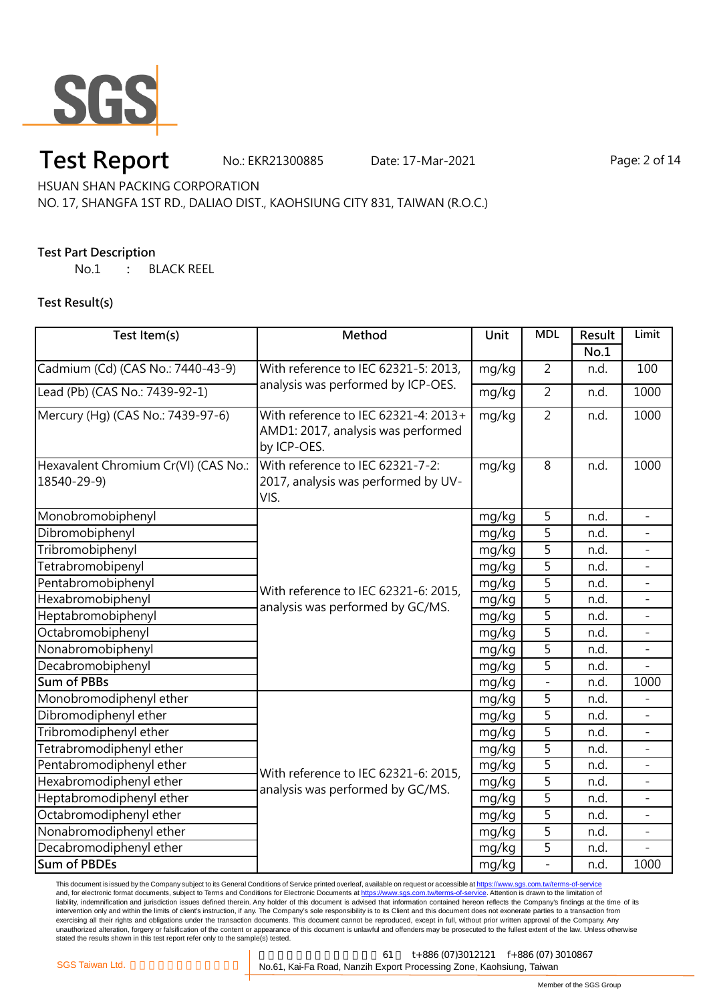

## **Test Report** No.: EKR21300885 Date: 17-Mar-2021 Page: 2 of 14

HSUAN SHAN PACKING CORPORATION

### NO. 17, SHANGFA 1ST RD., DALIAO DIST., KAOHSIUNG CITY 831, TAIWAN (R.O.C.)

### **Test Part Description**

No.1 **:** BLACK REEL

#### **Test Result(s)**

| Test Item(s)                                        | Method                                                                                    | <b>Unit</b> | <b>MDL</b>     | Result | Limit          |
|-----------------------------------------------------|-------------------------------------------------------------------------------------------|-------------|----------------|--------|----------------|
|                                                     |                                                                                           |             |                | No.1   |                |
| Cadmium (Cd) (CAS No.: 7440-43-9)                   | With reference to IEC 62321-5: 2013,<br>analysis was performed by ICP-OES.                | mg/kg       | $\overline{2}$ | n.d.   | 100            |
| Lead (Pb) (CAS No.: 7439-92-1)                      |                                                                                           | mg/kg       | $\overline{2}$ | n.d.   | 1000           |
| Mercury (Hg) (CAS No.: 7439-97-6)                   | With reference to IEC 62321-4: 2013+<br>AMD1: 2017, analysis was performed<br>by ICP-OES. | mg/kg       | $\overline{2}$ | n.d.   | 1000           |
| Hexavalent Chromium Cr(VI) (CAS No.:<br>18540-29-9) | With reference to IEC 62321-7-2:<br>2017, analysis was performed by UV-<br>VIS.           | mg/kg       | $\overline{8}$ | n.d.   | 1000           |
| Monobromobiphenyl                                   |                                                                                           | mg/kg       | 5              | n.d.   | ÷,             |
| Dibromobiphenyl                                     |                                                                                           | mg/kg       | 5              | n.d.   |                |
| Tribromobiphenyl                                    |                                                                                           | mg/kg       | 5              | n.d.   |                |
| Tetrabromobipenyl                                   | With reference to IEC 62321-6: 2015,                                                      | mg/kg       | 5              | n.d.   |                |
| Pentabromobiphenyl                                  |                                                                                           | mg/kg       | 5              | n.d.   |                |
| Hexabromobiphenyl                                   | analysis was performed by GC/MS.                                                          | mg/kg       | 5              | n.d.   | $\overline{a}$ |
| Heptabromobiphenyl                                  |                                                                                           | mg/kg       | $\overline{5}$ | n.d.   |                |
| Octabromobiphenyl                                   |                                                                                           | mg/kg       | $\overline{5}$ | n.d.   |                |
| Nonabromobiphenyl                                   |                                                                                           | mg/kg       | 5              | n.d.   | $\overline{a}$ |
| Decabromobiphenyl                                   |                                                                                           | mg/kg       | 5              | n.d.   | L              |
| <b>Sum of PBBs</b>                                  |                                                                                           | mg/kg       |                | n.d.   | 1000           |
| Monobromodiphenyl ether                             | With reference to IEC 62321-6: 2015,<br>analysis was performed by GC/MS.                  | mg/kg       | 5              | n.d.   |                |
| Dibromodiphenyl ether                               |                                                                                           | mg/kg       | 5              | n.d.   |                |
| Tribromodiphenyl ether                              |                                                                                           | mg/kg       | 5              | n.d.   | $\equiv$       |
| Tetrabromodiphenyl ether                            |                                                                                           | mg/kg       | 5              | n.d.   |                |
| Pentabromodiphenyl ether                            |                                                                                           | mg/kg       | 5              | n.d.   |                |
| Hexabromodiphenyl ether                             |                                                                                           | mg/kg       | 5              | n.d.   | $\overline{a}$ |
| Heptabromodiphenyl ether                            |                                                                                           | mg/kg       | $\overline{5}$ | n.d.   | $\overline{a}$ |
| Octabromodiphenyl ether                             |                                                                                           | mg/kg       | 5              | n.d.   |                |
| Nonabromodiphenyl ether                             |                                                                                           | mg/kg       | 5              | n.d.   |                |
| Decabromodiphenyl ether                             |                                                                                           | mg/kg       | 5              | n.d.   |                |
| <b>Sum of PBDEs</b>                                 |                                                                                           | mg/kg       |                | n.d.   | 1000           |

This document is issued by the Company subject to its General Conditions of Service printed overleaf, available on request or accessible at <u>https://www.sgs.com.tw/terms-of-service</u><br>and, for electronic format documents, su liability, indemnification and jurisdiction issues defined therein. Any holder of this document is advised that information contained hereon reflects the Company's findings at the time of its intervention only and within the limits of client's instruction, if any. The Company's sole responsibility is to its Client and this document does not exonerate parties to a transaction from exercising all their rights and obligations under the transaction documents. This document cannot be reproduced, except in full, without prior written approval of the Company. Any<br>unauthorized alteration, forgery or falsif

高雄市楠梓加工出口區開發 61 t+886 (07)3012121 f+886 (07) 3010867 SGS Taiwan Ltd. <br> **CGS Taiwan Ltd.** Consumer States No.61, Kai-Fa Road, Nanzih Export Processing Zone, Kaohsiung, Taiwan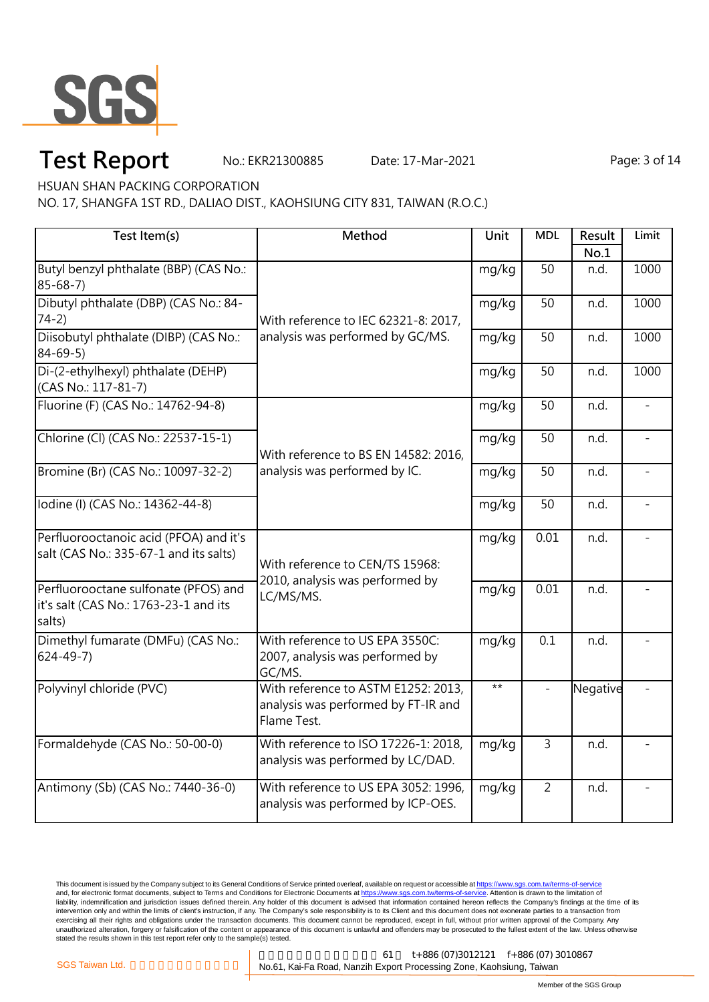

# **Test Report** No.: EKR21300885 Date: 17-Mar-2021 Page: 3 of 14

HSUAN SHAN PACKING CORPORATION

NO. 17, SHANGFA 1ST RD., DALIAO DIST., KAOHSIUNG CITY 831, TAIWAN (R.O.C.)

| Test Item(s)                                                                            | Method                                                                                    | Unit  | <b>MDL</b>     | Result   | Limit          |
|-----------------------------------------------------------------------------------------|-------------------------------------------------------------------------------------------|-------|----------------|----------|----------------|
|                                                                                         |                                                                                           |       |                | No.1     |                |
| Butyl benzyl phthalate (BBP) (CAS No.:<br>$85 - 68 - 7$                                 | With reference to IEC 62321-8: 2017,<br>analysis was performed by GC/MS.                  | mg/kg | 50             | n.d.     | 1000           |
| Dibutyl phthalate (DBP) (CAS No.: 84-<br>$74-2)$                                        |                                                                                           | mg/kg | 50             | n.d.     | 1000           |
| Diisobutyl phthalate (DIBP) (CAS No.:<br>$84 - 69 - 5$                                  |                                                                                           | mg/kg | 50             | n.d.     | 1000           |
| Di-(2-ethylhexyl) phthalate (DEHP)<br>(CAS No.: 117-81-7)                               |                                                                                           | mg/kg | 50             | n.d.     | 1000           |
| Fluorine (F) (CAS No.: 14762-94-8)                                                      | With reference to BS EN 14582: 2016,<br>analysis was performed by IC.                     | mg/kg | 50             | n.d.     | $\equiv$       |
| Chlorine (Cl) (CAS No.: 22537-15-1)                                                     |                                                                                           | mg/kg | 50             | n.d.     | $\overline{a}$ |
| Bromine (Br) (CAS No.: 10097-32-2)                                                      |                                                                                           | mg/kg | 50             | n.d.     |                |
| lodine (I) (CAS No.: 14362-44-8)                                                        |                                                                                           | mg/kg | 50             | n.d.     |                |
| Perfluorooctanoic acid (PFOA) and it's<br>salt (CAS No.: 335-67-1 and its salts)        | With reference to CEN/TS 15968:<br>2010, analysis was performed by<br>LC/MS/MS.           | mg/kg | 0.01           | n.d.     |                |
| Perfluorooctane sulfonate (PFOS) and<br>it's salt (CAS No.: 1763-23-1 and its<br>salts) |                                                                                           | mg/kg | 0.01           | n.d.     |                |
| Dimethyl fumarate (DMFu) (CAS No.:<br>$624 - 49 - 7$                                    | With reference to US EPA 3550C:<br>2007, analysis was performed by<br>GC/MS.              | mg/kg | 0.1            | n.d.     |                |
| Polyvinyl chloride (PVC)                                                                | With reference to ASTM E1252: 2013,<br>analysis was performed by FT-IR and<br>Flame Test. | $***$ |                | Negative |                |
| Formaldehyde (CAS No.: 50-00-0)                                                         | With reference to ISO 17226-1: 2018,<br>analysis was performed by LC/DAD.                 | mg/kg | 3              | n.d.     |                |
| Antimony (Sb) (CAS No.: 7440-36-0)                                                      | With reference to US EPA 3052: 1996,<br>analysis was performed by ICP-OES.                | mg/kg | $\overline{2}$ | n.d.     |                |

This document is issued by the Company subject to its General Conditions of Service printed overleaf, available on request or accessible at <u>https://www.sgs.com.tw/terms-of-service</u><br>and, for electronic format documents, su liability, indemnification and jurisdiction issues defined therein. Any holder of this document is advised that information contained hereon reflects the Company's findings at the time of its intervention only and within the limits of client's instruction, if any. The Company's sole responsibility is to its Client and this document does not exonerate parties to a transaction from exercising all their rights and obligations under the transaction documents. This document cannot be reproduced, except in full, without prior written approval of the Company. Any<br>unauthorized alteration, forgery or falsif

高雄市楠梓加工出口區開發 61 t+886 (07)3012121 f+886 (07) 3010867 SGS Taiwan Ltd. **Company of the Constructed Training No.61**, Kai-Fa Road, Nanzih Export Processing Zone, Kaohsiung, Taiwan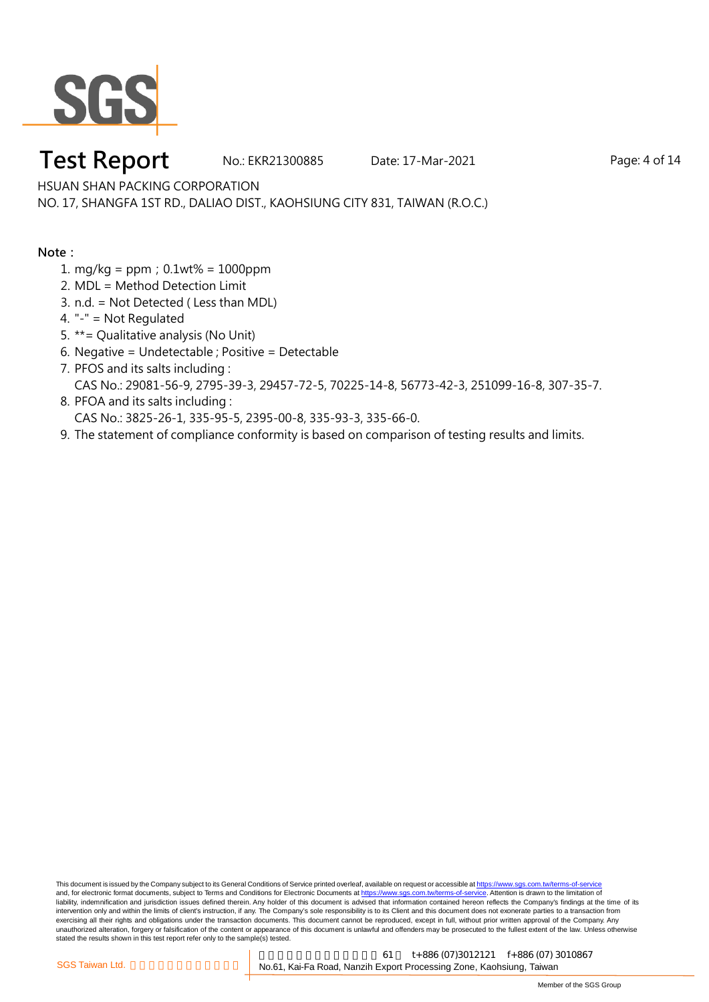

### **Test Report** No.: EKR21300885 Date: 17-Mar-2021 Page: 4 of 14

HSUAN SHAN PACKING CORPORATION

NO. 17, SHANGFA 1ST RD., DALIAO DIST., KAOHSIUNG CITY 831, TAIWAN (R.O.C.)

**Note:**

- 1. mg/kg = ppm;0.1wt% = 1000ppm
- 2. MDL = Method Detection Limit
- 3. n.d. = Not Detected ( Less than MDL)
- 4. "-" = Not Regulated
- 5. \*\*= Qualitative analysis (No Unit)
- 6. Negative = Undetectable ; Positive = Detectable
- 7. PFOS and its salts including : CAS No.: 29081-56-9, 2795-39-3, 29457-72-5, 70225-14-8, 56773-42-3, 251099-16-8, 307-35-7.
- 8. PFOA and its salts including : CAS No.: 3825-26-1, 335-95-5, 2395-00-8, 335-93-3, 335-66-0.
- 9. The statement of compliance conformity is based on comparison of testing results and limits.

This document is issued by the Company subject to its General Conditions of Service printed overleaf, available on request or accessible at https://www.sgs.com.tw/terms-of-service and, for electronic format documents, subject to Terms and Conditions for Electronic Documents at https://www.sgs.com.tw/terms-of-service. Attention is drawn to the limitation of liability, indemnification and jurisdiction issues defined therein. Any holder of this document is advised that information contained hereon reflects the Company's findings at the time of its intervention only and within the limits of client's instruction, if any. The Company's sole responsibility is to its Client and this document does not exonerate parties to a transaction from exercising all their rights and obligations under the transaction documents. This document cannot be reproduced, except in full, without prior written approval of the Company. Any<br>unauthorized alteration, forgery or falsif stated the results shown in this test report refer only to the sample(s) tested.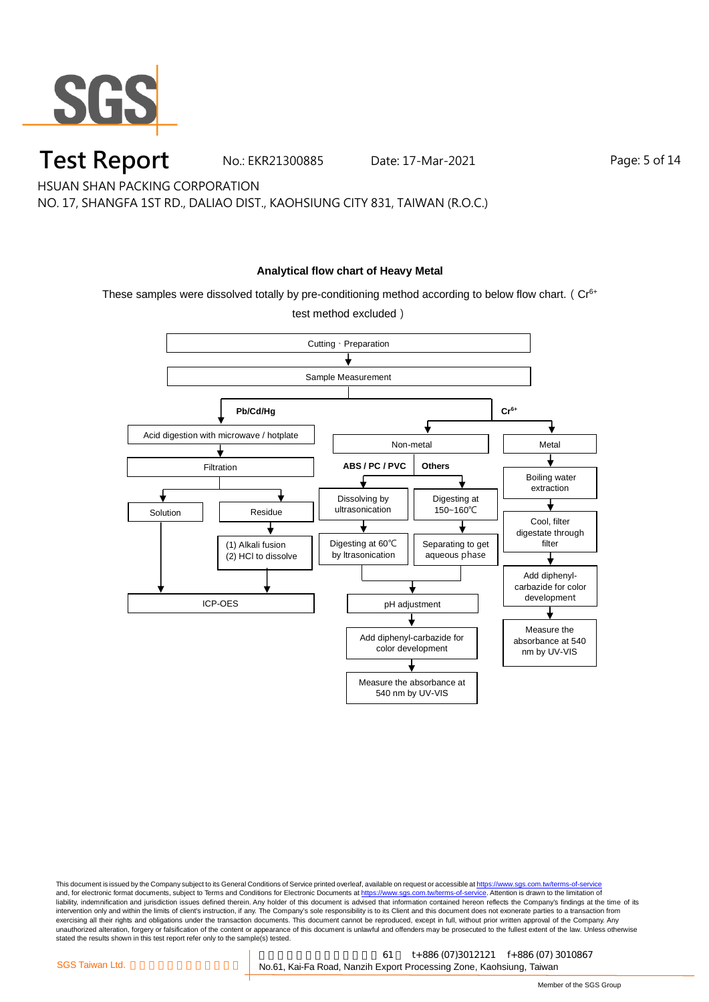

**Test Report** No.: EKR21300885 Date: 17-Mar-2021 Page: 5 of 14

HSUAN SHAN PACKING CORPORATION

NO. 17, SHANGFA 1ST RD., DALIAO DIST., KAOHSIUNG CITY 831, TAIWAN (R.O.C.)

#### **Analytical flow chart of Heavy Metal**

These samples were dissolved totally by pre-conditioning method according to below flow chart. ( $Cr<sup>6+</sup>$ 



This document is issued by the Company subject to its General Conditions of Service printed overleaf, available on request or accessible at <u>https://www.sgs.com.tw/terms-of-service</u><br>and, for electronic format documents, su liability, indemnification and jurisdiction issues defined therein. Any holder of this document is advised that information contained hereon reflects the Company's findings at the time of its intervention only and within the limits of client's instruction, if any. The Company's sole responsibility is to its Client and this document does not exonerate parties to a transaction from exercising all their rights and obligations under the transaction documents. This document cannot be reproduced, except in full, without prior written approval of the Company. Any<br>unauthorized alteration, forgery or falsif stated the results shown in this test report refer only to the sample(s) tested.

高雄市楠梓加工出口區開發 61 t+886 (07)3012121 f+886 (07) 3010867 SGS Taiwan Ltd. **Component Component Component No.61**, Kai-Fa Road, Nanzih Export Processing Zone, Kaohsiung, Taiwan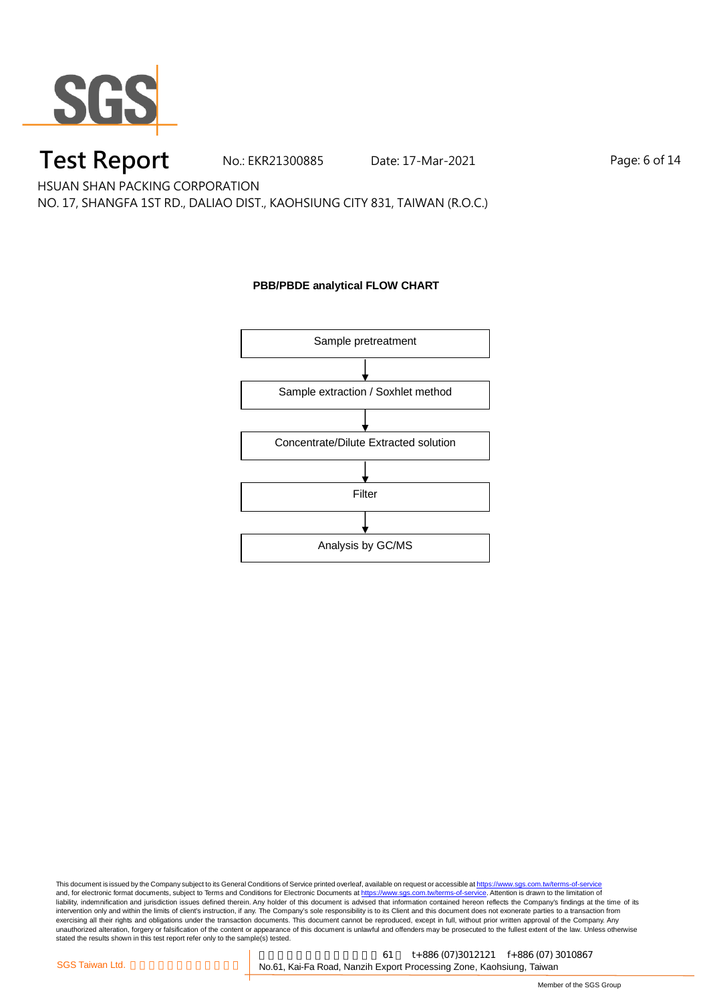

## **Test Report** No.: EKR21300885 Date: 17-Mar-2021 Page: 6 of 14

HSUAN SHAN PACKING CORPORATION

NO. 17, SHANGFA 1ST RD., DALIAO DIST., KAOHSIUNG CITY 831, TAIWAN (R.O.C.)

### **PBB/PBDE analytical FLOW CHART**

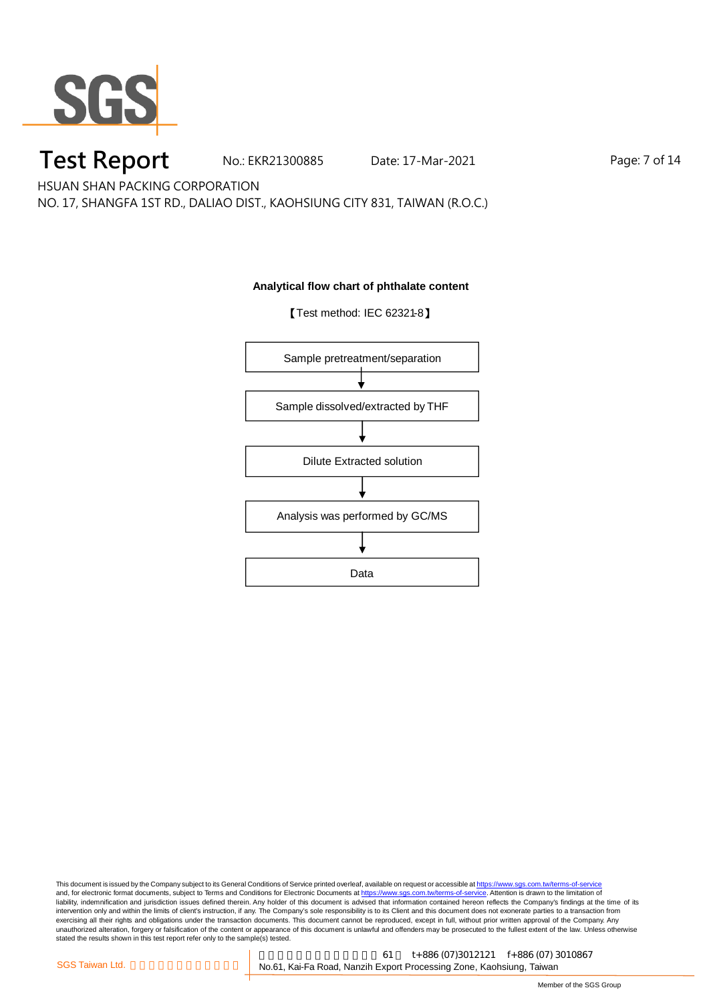

# **Test Report** No.: EKR21300885 Date: 17-Mar-2021 Page: 7 of 14

HSUAN SHAN PACKING CORPORATION

NO. 17, SHANGFA 1ST RD., DALIAO DIST., KAOHSIUNG CITY 831, TAIWAN (R.O.C.)

#### **Analytical flow chart of phthalate content**

【Test method: IEC 62321-8】

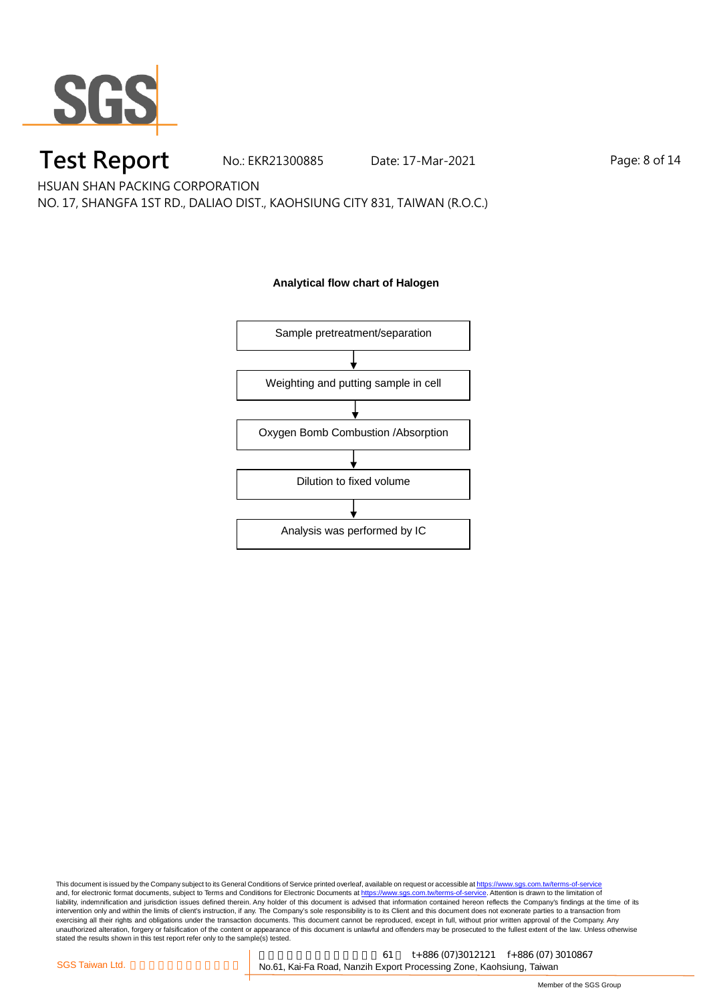

### **Test Report** No.: EKR21300885 Date: 17-Mar-2021 Page: 8 of 14

HSUAN SHAN PACKING CORPORATION

NO. 17, SHANGFA 1ST RD., DALIAO DIST., KAOHSIUNG CITY 831, TAIWAN (R.O.C.)

#### **Analytical flow chart of Halogen**

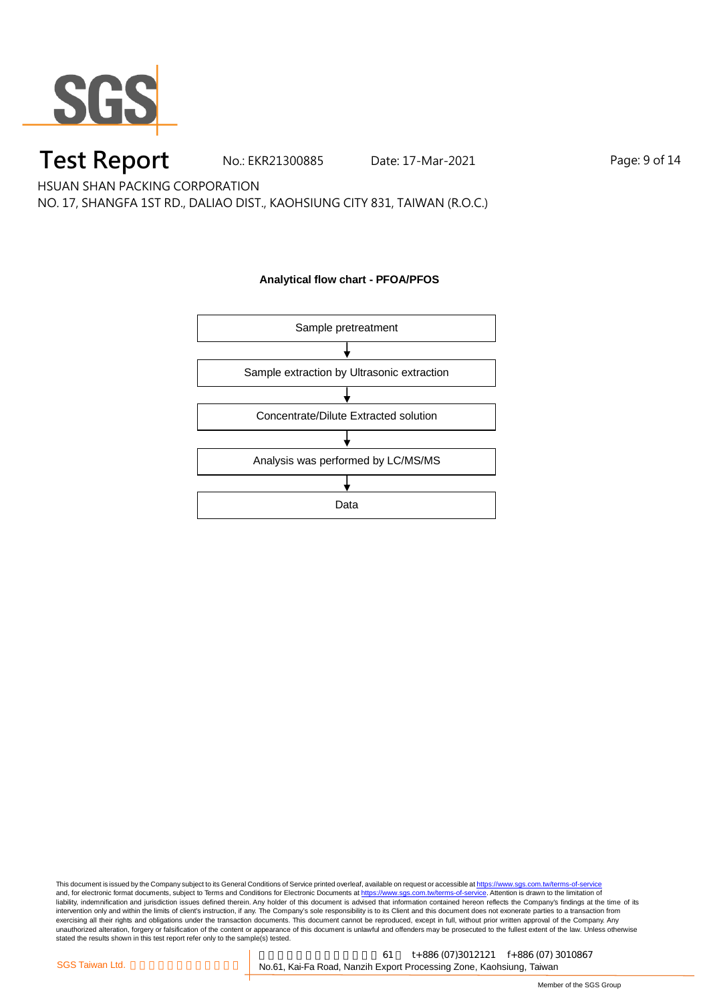

## **Test Report** No.: EKR21300885 Date: 17-Mar-2021 Page: 9 of 14

HSUAN SHAN PACKING CORPORATION

NO. 17, SHANGFA 1ST RD., DALIAO DIST., KAOHSIUNG CITY 831, TAIWAN (R.O.C.)

#### **Analytical flow chart - PFOA/PFOS**



This document is issued by the Company subject to its General Conditions of Service printed overleaf, available on request or accessible at <u>https://www.sgs.com.tw/terms-of-service</u><br>and, for electronic format documents, su liability, indemnification and jurisdiction issues defined therein. Any holder of this document is advised that information contained hereon reflects the Company's findings at the time of its intervention only and within the limits of client's instruction, if any. The Company's sole responsibility is to its Client and this document does not exonerate parties to a transaction from exercising all their rights and obligations under the transaction documents. This document cannot be reproduced, except in full, without prior written approval of the Company. Any<br>unauthorized alteration, forgery or falsif

高雄市楠梓加工出口區開發 61 t+886 (07)3012121 f+886 (07) 3010867 SGS Taiwan Ltd. <br> **CGS Taiwan Ltd.** Consumer States No.61, Kai-Fa Road, Nanzih Export Processing Zone, Kaohsiung, Taiwan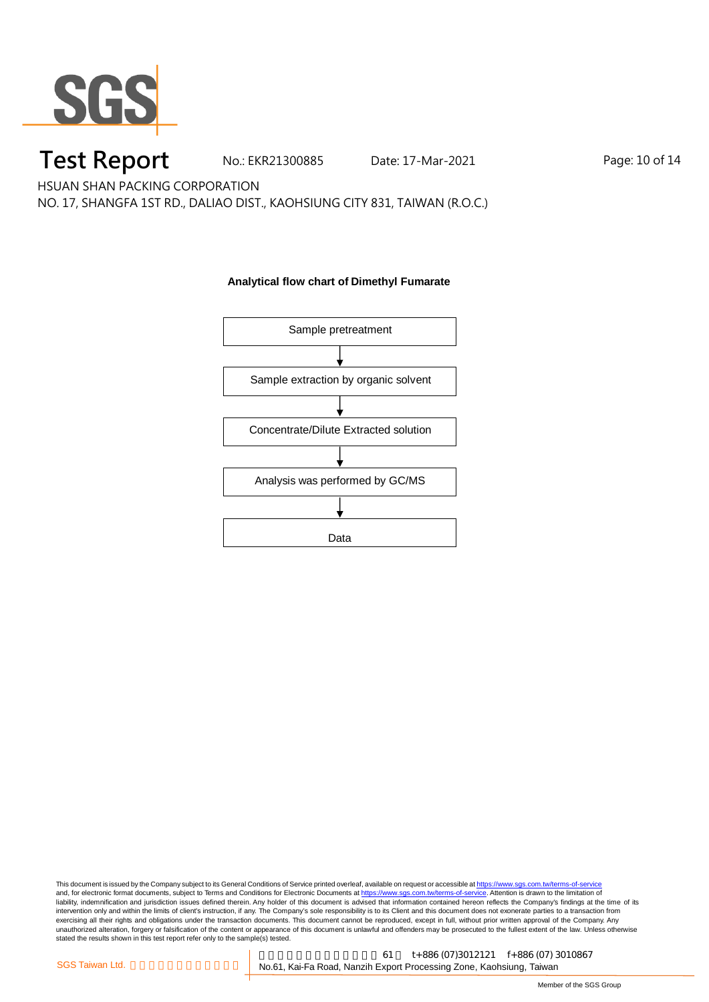

### **Test Report** No.: EKR21300885 Date: 17-Mar-2021 Page: 10 of 14

HSUAN SHAN PACKING CORPORATION

NO. 17, SHANGFA 1ST RD., DALIAO DIST., KAOHSIUNG CITY 831, TAIWAN (R.O.C.)

#### **Analytical flow chart of Dimethyl Fumarate**

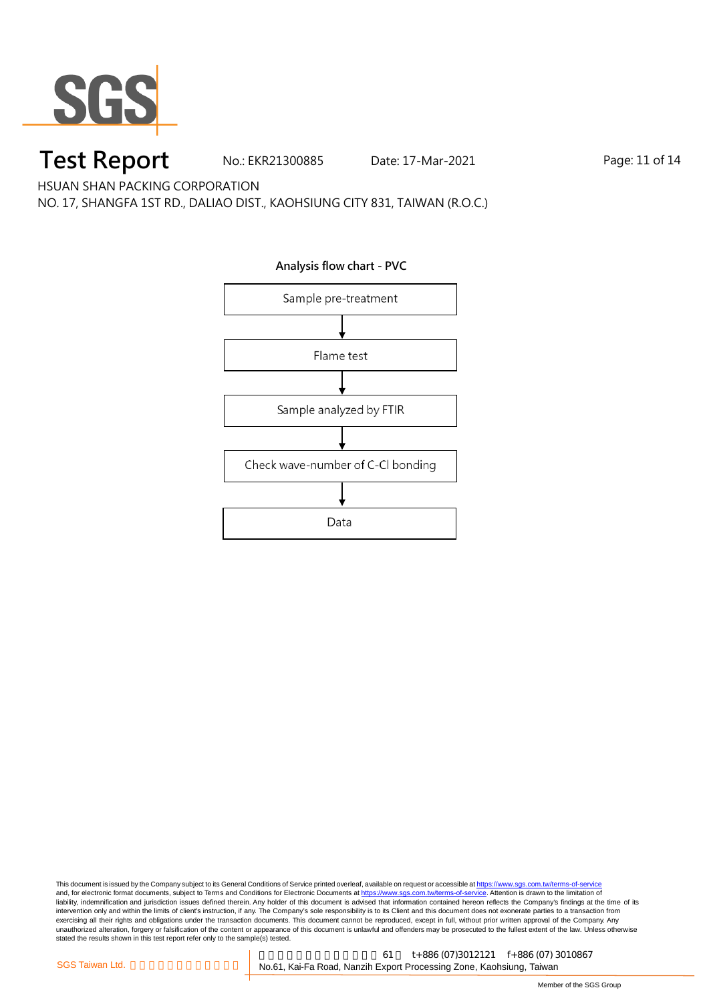

### **Test Report** No.: EKR21300885 Date: 17-Mar-2021 Page: 11 of 14

HSUAN SHAN PACKING CORPORATION

NO. 17, SHANGFA 1ST RD., DALIAO DIST., KAOHSIUNG CITY 831, TAIWAN (R.O.C.)

**Analysis flow chart - PVC**Sample pre-treatment Flame test Sample analyzed by FTIR Check wave-number of C-Cl bonding Data

This document is issued by the Company subject to its General Conditions of Service printed overleaf, available on request or accessible at <u>https://www.sgs.com.tw/terms-of-service</u><br>and, for electronic format documents, su liability, indemnification and jurisdiction issues defined therein. Any holder of this document is advised that information contained hereon reflects the Company's findings at the time of its intervention only and within the limits of client's instruction, if any. The Company's sole responsibility is to its Client and this document does not exonerate parties to a transaction from exercising all their rights and obligations under the transaction documents. This document cannot be reproduced, except in full, without prior written approval of the Company. Any<br>unauthorized alteration, forgery or falsif

高雄市楠梓加工出口區開發 61 t+886 (07)3012121 f+886 (07) 3010867 SGS Taiwan Ltd. **Company of the Constructed Training No.61**, Kai-Fa Road, Nanzih Export Processing Zone, Kaohsiung, Taiwan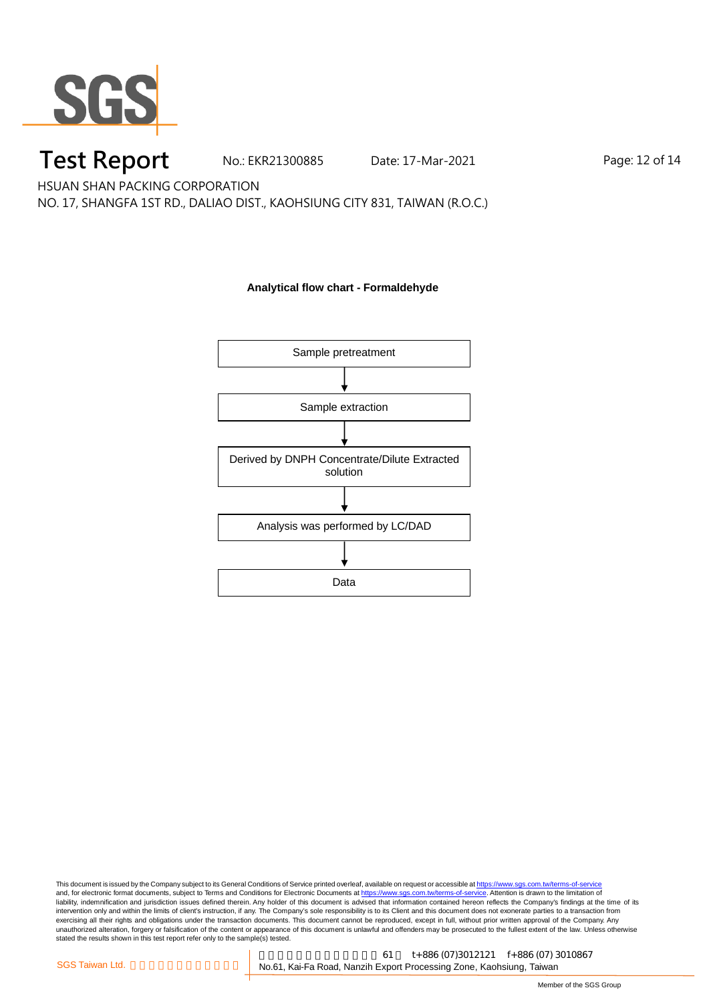

### **Test Report** No.: EKR21300885 Date: 17-Mar-2021 Page: 12 of 14

HSUAN SHAN PACKING CORPORATION

NO. 17, SHANGFA 1ST RD., DALIAO DIST., KAOHSIUNG CITY 831, TAIWAN (R.O.C.)

#### **Analytical flow chart - Formaldehyde**

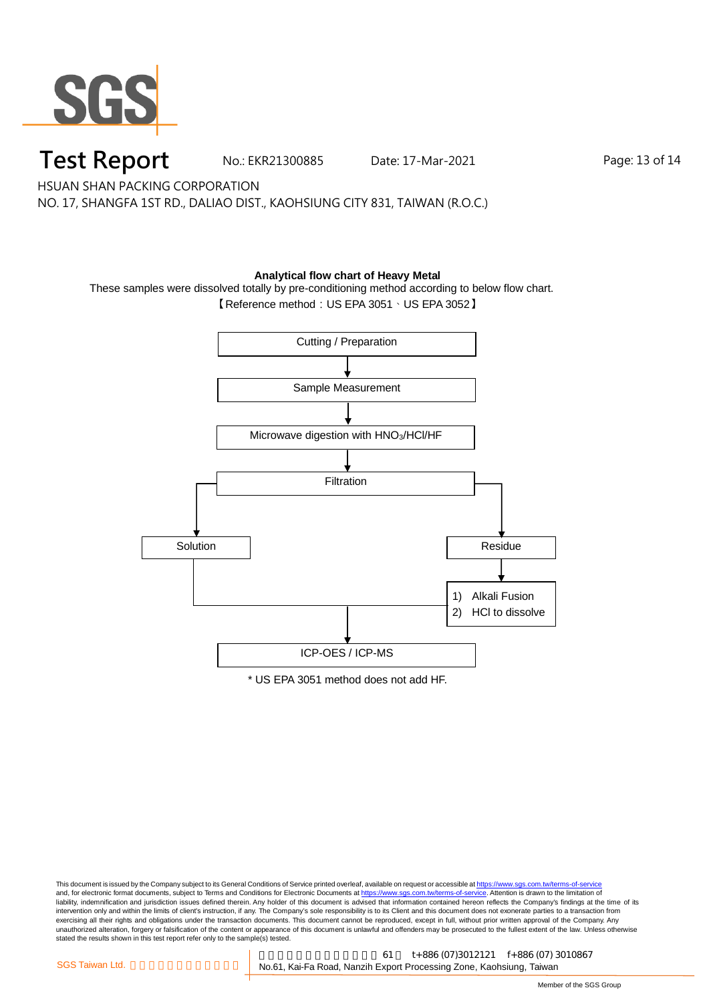

## **Test Report** No.: EKR21300885 Date: 17-Mar-2021 Page: 13 of 14

HSUAN SHAN PACKING CORPORATION

NO. 17, SHANGFA 1ST RD., DALIAO DIST., KAOHSIUNG CITY 831, TAIWAN (R.O.C.)

#### **Analytical flow chart of Heavy Metal**

These samples were dissolved totally by pre-conditioning method according to below flow chart.

【Reference method:US EPA 3051、US EPA 3052】



This document is issued by the Company subject to its General Conditions of Service printed overleaf, available on request or accessible at <u>https://www.sgs.com.tw/terms-of-service</u><br>and, for electronic format documents, su liability, indemnification and jurisdiction issues defined therein. Any holder of this document is advised that information contained hereon reflects the Company's findings at the time of its intervention only and within the limits of client's instruction, if any. The Company's sole responsibility is to its Client and this document does not exonerate parties to a transaction from exercising all their rights and obligations under the transaction documents. This document cannot be reproduced, except in full, without prior written approval of the Company. Any<br>unauthorized alteration, forgery or falsif stated the results shown in this test report refer only to the sample(s) tested.

高雄市楠梓加工出口區開發 61 t+886 (07)3012121 f+886 (07) 3010867 SGS Taiwan Ltd. **Component Component Component No.61**, Kai-Fa Road, Nanzih Export Processing Zone, Kaohsiung, Taiwan